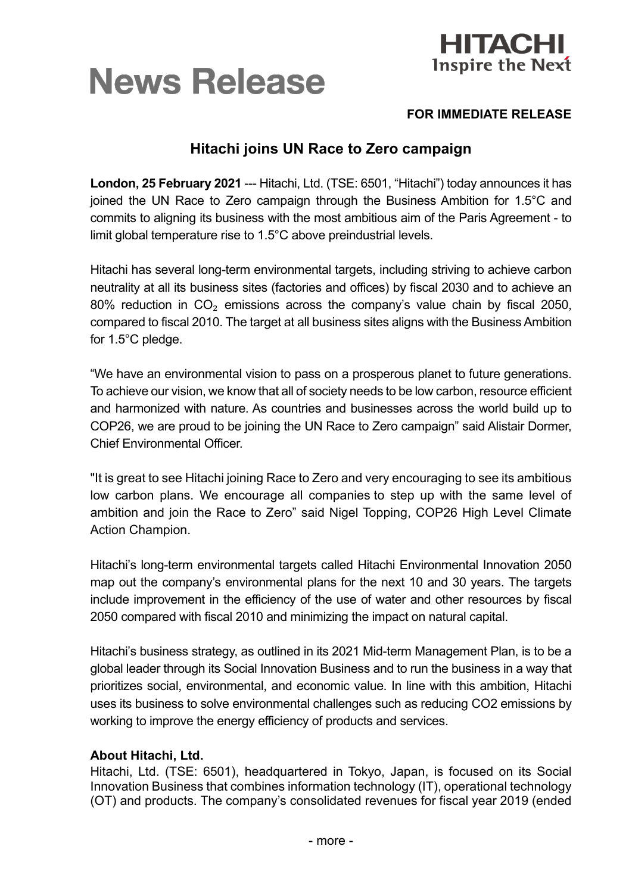



## **FOR IMMEDIATE RELEASE**

## **Hitachi joins UN Race to Zero campaign**

**London, 25 February 2021** --- Hitachi, Ltd. (TSE: 6501, "Hitachi") today announces it has joined the UN Race to Zero campaign through the Business Ambition for 1.5°C and commits to aligning its business with the most ambitious aim of the Paris Agreement - to limit global temperature rise to 1.5°C above preindustrial levels.

Hitachi has several long-term environmental targets, including striving to achieve carbon neutrality at all its business sites (factories and offices) by fiscal 2030 and to achieve an 80% reduction in  $CO<sub>2</sub>$  emissions across the company's value chain by fiscal 2050, compared to fiscal 2010. The target at all business sites aligns with the Business Ambition for 1.5°C pledge.

"We have an environmental vision to pass on a prosperous planet to future generations. To achieve our vision, we know that all of society needs to be low carbon, resource efficient and harmonized with nature. As countries and businesses across the world build up to COP26, we are proud to be joining the UN Race to Zero campaign" said Alistair Dormer, Chief Environmental Officer.

"It is great to see Hitachi joining Race to Zero and very encouraging to see its ambitious low carbon plans. We encourage all companies to step up with the same level of ambition and join the Race to Zero" said Nigel Topping, COP26 High Level Climate Action Champion.

Hitachi's long-term environmental targets called Hitachi Environmental Innovation 2050 map out the company's environmental plans for the next 10 and 30 years. The targets include improvement in the efficiency of the use of water and other resources by fiscal 2050 compared with fiscal 2010 and minimizing the impact on natural capital.

Hitachi's business strategy, as outlined in its 2021 Mid-term Management Plan, is to be a global leader through its Social Innovation Business and to run the business in a way that prioritizes social, environmental, and economic value. In line with this ambition, Hitachi uses its business to solve environmental challenges such as reducing CO2 emissions by working to improve the energy efficiency of products and services.

## **About Hitachi, Ltd.**

Hitachi, Ltd. (TSE: 6501), headquartered in Tokyo, Japan, is focused on its Social Innovation Business that combines information technology (IT), operational technology (OT) and products. The company's consolidated revenues for fiscal year 2019 (ended